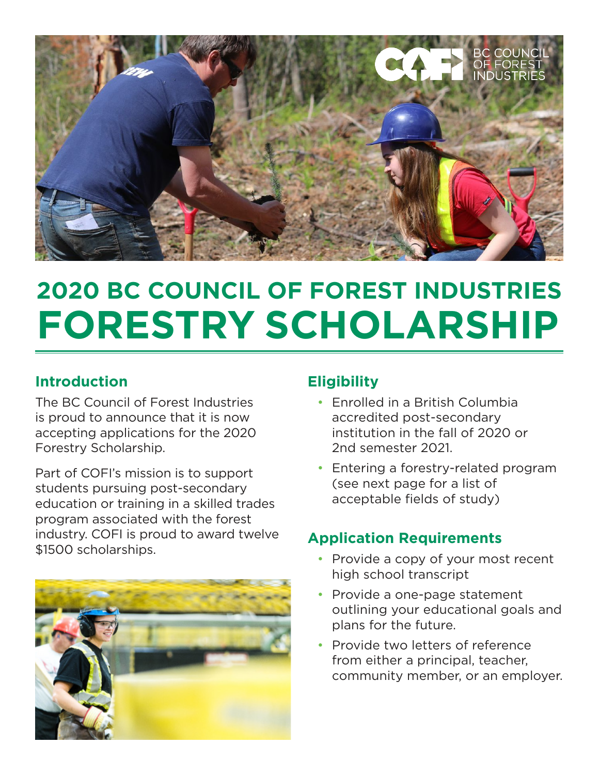

# **2020 BC COUNCIL OF FOREST INDUSTRIES FORESTRY SCHOLARSHIP**

### **Introduction**

The BC Council of Forest Industries is proud to announce that it is now accepting applications for the 2020 Forestry Scholarship.

Part of COFI's mission is to support students pursuing post-secondary education or training in a skilled trades program associated with the forest industry. COFI is proud to award twelve \$1500 scholarships.



### **Eligibility**

- Enrolled in a British Columbia accredited post-secondary institution in the fall of 2020 or 2nd semester 2021.
- Entering a forestry-related program (see next page for a list of acceptable fields of study)

## **Application Requirements**

- Provide a copy of your most recent high school transcript
- Provide a one-page statement outlining your educational goals and plans for the future.
- Provide two letters of reference from either a principal, teacher, community member, or an employer.